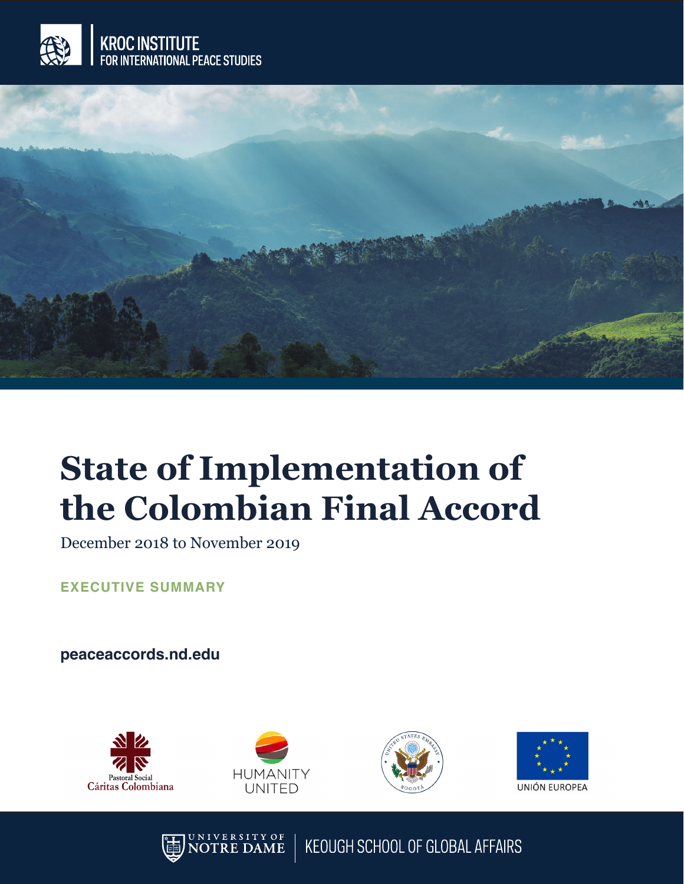



## **State of Implementation of the Colombian Final Accord**

December 2018 to November 2019

**EXECUTIVE SUMMARY**

**peaceaccords.nd.edu**









**VERSITY OF** KEOUGH SCHOOL OF GLOBAL AFFAIRS **RE DAME**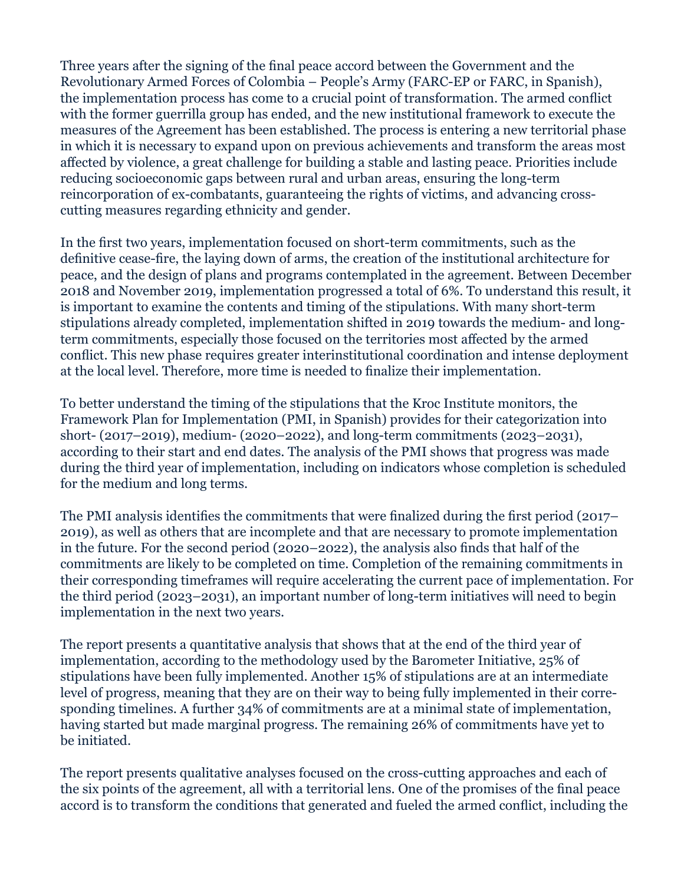Three years after the signing of the final peace accord between the Government and the Revolutionary Armed Forces of Colombia – People's Army (FARC-EP or FARC, in Spanish), the implementation process has come to a crucial point of transformation. The armed conflict with the former guerrilla group has ended, and the new institutional framework to execute the measures of the Agreement has been established. The process is entering a new territorial phase in which it is necessary to expand upon on previous achievements and transform the areas most affected by violence, a great challenge for building a stable and lasting peace. Priorities include reducing socioeconomic gaps between rural and urban areas, ensuring the long-term reincorporation of ex-combatants, guaranteeing the rights of victims, and advancing crosscutting measures regarding ethnicity and gender.

In the first two years, implementation focused on short-term commitments, such as the definitive cease-fire, the laying down of arms, the creation of the institutional architecture for peace, and the design of plans and programs contemplated in the agreement. Between December 2018 and November 2019, implementation progressed a total of 6%. To understand this result, it is important to examine the contents and timing of the stipulations. With many short-term stipulations already completed, implementation shifted in 2019 towards the medium- and longterm commitments, especially those focused on the territories most affected by the armed conflict. This new phase requires greater interinstitutional coordination and intense deployment at the local level. Therefore, more time is needed to finalize their implementation.

To better understand the timing of the stipulations that the Kroc Institute monitors, the Framework Plan for Implementation (PMI, in Spanish) provides for their categorization into short- (2017–2019), medium- (2020–2022), and long-term commitments (2023–2031), according to their start and end dates. The analysis of the PMI shows that progress was made during the third year of implementation, including on indicators whose completion is scheduled for the medium and long terms.

The PMI analysis identifies the commitments that were finalized during the first period (2017– 2019), as well as others that are incomplete and that are necessary to promote implementation in the future. For the second period (2020–2022), the analysis also finds that half of the commitments are likely to be completed on time. Completion of the remaining commitments in their corresponding timeframes will require accelerating the current pace of implementation. For the third period (2023–2031), an important number of long-term initiatives will need to begin implementation in the next two years.

The report presents a quantitative analysis that shows that at the end of the third year of implementation, according to the methodology used by the Barometer Initiative, 25% of stipulations have been fully implemented. Another 15% of stipulations are at an intermediate level of progress, meaning that they are on their way to being fully implemented in their corresponding timelines. A further 34% of commitments are at a minimal state of implementation, having started but made marginal progress. The remaining 26% of commitments have yet to be initiated.

The report presents qualitative analyses focused on the cross-cutting approaches and each of the six points of the agreement, all with a territorial lens. One of the promises of the final peace accord is to transform the conditions that generated and fueled the armed conflict, including the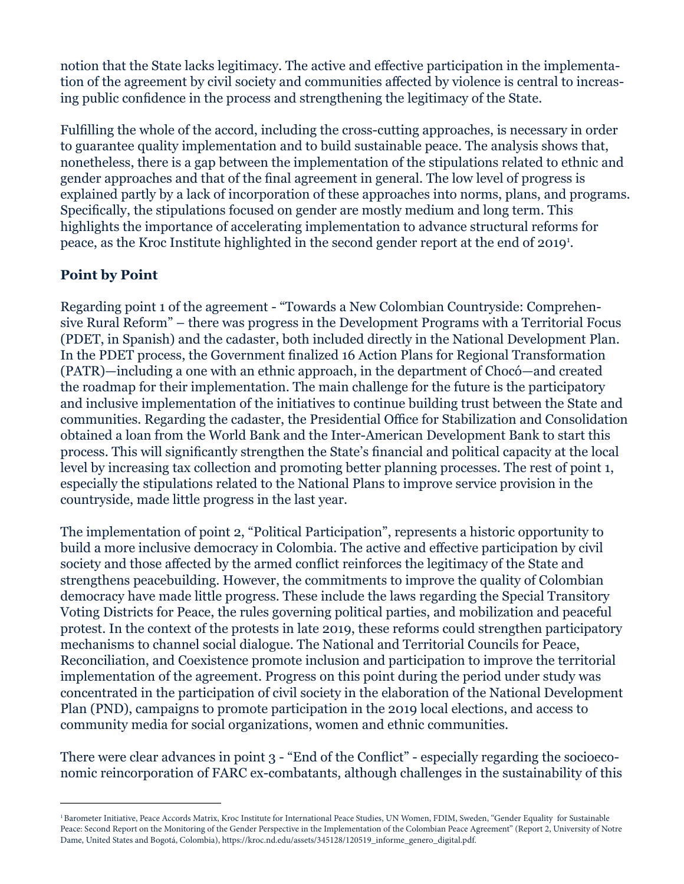notion that the State lacks legitimacy. The active and effective participation in the implementation of the agreement by civil society and communities affected by violence is central to increasing public confidence in the process and strengthening the legitimacy of the State.

Fulfilling the whole of the accord, including the cross-cutting approaches, is necessary in order to guarantee quality implementation and to build sustainable peace. The analysis shows that, nonetheless, there is a gap between the implementation of the stipulations related to ethnic and gender approaches and that of the final agreement in general. The low level of progress is explained partly by a lack of incorporation of these approaches into norms, plans, and programs. Specifically, the stipulations focused on gender are mostly medium and long term. This highlights the importance of accelerating implementation to advance structural reforms for peace, as the Kroc Institute highlighted in the second gender report at the end of 2019<sup>1</sup>.

## **Point by Point**

Regarding point 1 of the agreement - "Towards a New Colombian Countryside: Comprehensive Rural Reform" – there was progress in the Development Programs with a Territorial Focus (PDET, in Spanish) and the cadaster, both included directly in the National Development Plan. In the PDET process, the Government finalized 16 Action Plans for Regional Transformation (PATR)—including a one with an ethnic approach, in the department of Chocó—and created the roadmap for their implementation. The main challenge for the future is the participatory and inclusive implementation of the initiatives to continue building trust between the State and communities. Regarding the cadaster, the Presidential Office for Stabilization and Consolidation obtained a loan from the World Bank and the Inter-American Development Bank to start this process. This will significantly strengthen the State's financial and political capacity at the local level by increasing tax collection and promoting better planning processes. The rest of point 1, especially the stipulations related to the National Plans to improve service provision in the countryside, made little progress in the last year.

The implementation of point 2, "Political Participation", represents a historic opportunity to build a more inclusive democracy in Colombia. The active and effective participation by civil society and those affected by the armed conflict reinforces the legitimacy of the State and strengthens peacebuilding. However, the commitments to improve the quality of Colombian democracy have made little progress. These include the laws regarding the Special Transitory Voting Districts for Peace, the rules governing political parties, and mobilization and peaceful protest. In the context of the protests in late 2019, these reforms could strengthen participatory mechanisms to channel social dialogue. The National and Territorial Councils for Peace, Reconciliation, and Coexistence promote inclusion and participation to improve the territorial implementation of the agreement. Progress on this point during the period under study was concentrated in the participation of civil society in the elaboration of the National Development Plan (PND), campaigns to promote participation in the 2019 local elections, and access to community media for social organizations, women and ethnic communities.

There were clear advances in point 3 - "End of the Conflict" - especially regarding the socioeconomic reincorporation of FARC ex-combatants, although challenges in the sustainability of this

<sup>&</sup>lt;sup>1</sup> Barometer Initiative, Peace Accords Matrix, Kroc Institute for International Peace Studies, UN Women, FDIM, Sweden, "Gender Equality for Sustainable Peace: Second Report on the Monitoring of the Gender Perspective in the Implementation of the Colombian Peace Agreement" (Report 2, University of Notre Dame, United States and Bogotá, Colombia), https://kroc.nd.edu/assets/345128/120519\_informe\_genero\_digital.pdf.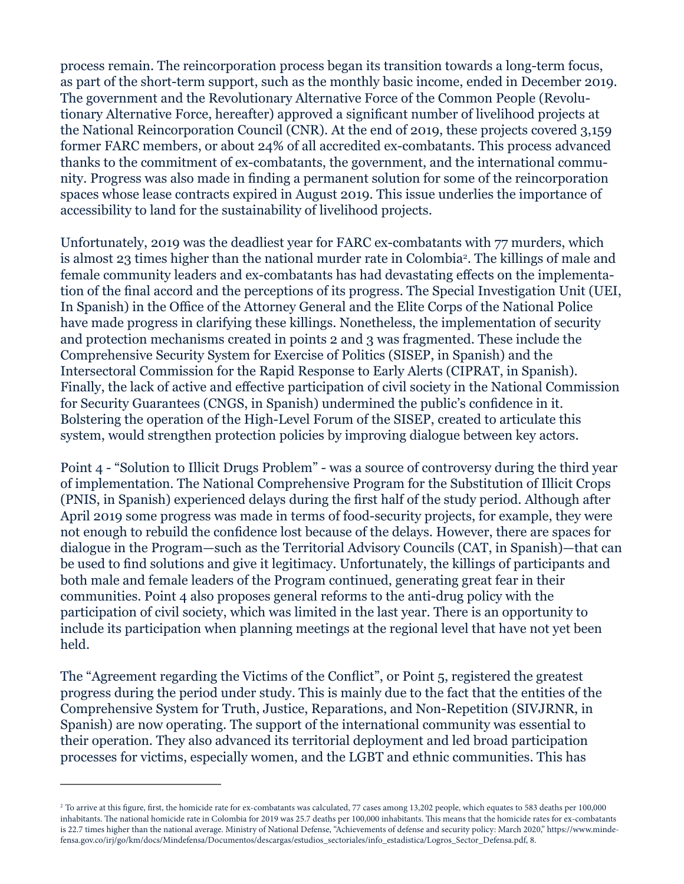process remain. The reincorporation process began its transition towards a long-term focus, as part of the short-term support, such as the monthly basic income, ended in December 2019. The government and the Revolutionary Alternative Force of the Common People (Revolutionary Alternative Force, hereafter) approved a significant number of livelihood projects at the National Reincorporation Council (CNR). At the end of 2019, these projects covered 3,159 former FARC members, or about 24% of all accredited ex-combatants. This process advanced thanks to the commitment of ex-combatants, the government, and the international community. Progress was also made in finding a permanent solution for some of the reincorporation spaces whose lease contracts expired in August 2019. This issue underlies the importance of accessibility to land for the sustainability of livelihood projects.

Unfortunately, 2019 was the deadliest year for FARC ex-combatants with 77 murders, which is almost 23 times higher than the national murder rate in Colombia². The killings of male and female community leaders and ex-combatants has had devastating effects on the implementation of the final accord and the perceptions of its progress. The Special Investigation Unit (UEI, In Spanish) in the Office of the Attorney General and the Elite Corps of the National Police have made progress in clarifying these killings. Nonetheless, the implementation of security and protection mechanisms created in points 2 and 3 was fragmented. These include the Comprehensive Security System for Exercise of Politics (SISEP, in Spanish) and the Intersectoral Commission for the Rapid Response to Early Alerts (CIPRAT, in Spanish). Finally, the lack of active and effective participation of civil society in the National Commission for Security Guarantees (CNGS, in Spanish) undermined the public's confidence in it. Bolstering the operation of the High-Level Forum of the SISEP, created to articulate this system, would strengthen protection policies by improving dialogue between key actors.

Point 4 - "Solution to Illicit Drugs Problem" - was a source of controversy during the third year of implementation. The National Comprehensive Program for the Substitution of Illicit Crops (PNIS, in Spanish) experienced delays during the first half of the study period. Although after April 2019 some progress was made in terms of food-security projects, for example, they were not enough to rebuild the confidence lost because of the delays. However, there are spaces for dialogue in the Program—such as the Territorial Advisory Councils (CAT, in Spanish)—that can be used to find solutions and give it legitimacy. Unfortunately, the killings of participants and both male and female leaders of the Program continued, generating great fear in their communities. Point 4 also proposes general reforms to the anti-drug policy with the participation of civil society, which was limited in the last year. There is an opportunity to include its participation when planning meetings at the regional level that have not yet been held.

The "Agreement regarding the Victims of the Conflict", or Point 5, registered the greatest progress during the period under study. This is mainly due to the fact that the entities of the Comprehensive System for Truth, Justice, Reparations, and Non-Repetition (SIVJRNR, in Spanish) are now operating. The support of the international community was essential to their operation. They also advanced its territorial deployment and led broad participation processes for victims, especially women, and the LGBT and ethnic communities. This has

<sup>&</sup>lt;sup>2</sup> To arrive at this figure, first, the homicide rate for ex-combatants was calculated, 77 cases among 13,202 people, which equates to 583 deaths per 100,000 inhabitants. The national homicide rate in Colombia for 2019 was 25.7 deaths per 100,000 inhabitants. This means that the homicide rates for ex-combatants is 22.7 times higher than the national average. Ministry of National Defense, "Achievements of defense and security policy: March 2020," https://www.mindefensa.gov.co/irj/go/km/docs/Mindefensa/Documentos/descargas/estudios\_sectoriales/info\_estadistica/Logros\_Sector\_Defensa.pdf, 8.